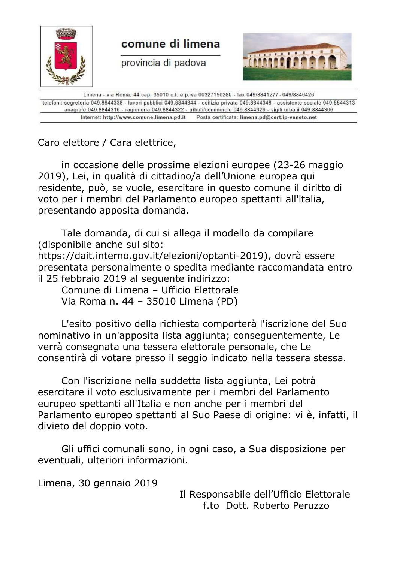

telefoni: segreteria 049.8844338 - lavori pubblici 049.8844344 - edilizia privata 049.8844348 - assistente sociale 049.8844313 anagrafe 049.8844316 - ragioneria 049.8844322 - tributi/commercio 049.8844326 - vigili urbani 049.8844306 Posta certificata: limena.pd@cert.ip-veneto.net Internet: http://www.comune.limena.pd.it

Caro elettore / Cara elettrice,

in occasione delle prossime elezioni europee (23-26 maggio 2019), Lei, in qualità di cittadino/a dell'Unione europea qui residente, può, se vuole, esercitare in questo comune il diritto di voto per i membri del Parlamento europeo spettanti all'ltalia, presentando apposita domanda.

Tale domanda, di cui si allega il modello da compilare (disponibile anche sul sito:

https://dait.interno.gov.it/elezioni/optanti-2019), dovrà essere presentata personalmente o spedita mediante raccomandata entro il 25 febbraio 2019 al seguente indirizzo:

Comune di Limena – Ufficio Elettorale Via Roma n. 44 – 35010 Limena (PD)

L'esito positivo della richiesta comporterà l'iscrizione del Suo nominativo in un'apposita lista aggiunta; conseguentemente, Le verrà consegnata una tessera elettorale personale, che Le consentirà di votare presso il seggio indicato nella tessera stessa.

Con l'iscrizione nella suddetta lista aggiunta, Lei potrà esercitare il voto esclusivamente per i membri del Parlamento europeo spettanti all'Italia e non anche per i membri del Parlamento europeo spettanti al Suo Paese di origine: vi è, infatti, il divieto del doppio voto.

Gli uffici comunali sono, in ogni caso, a Sua disposizione per eventuali, ulteriori informazioni.

Limena, 30 gennaio 2019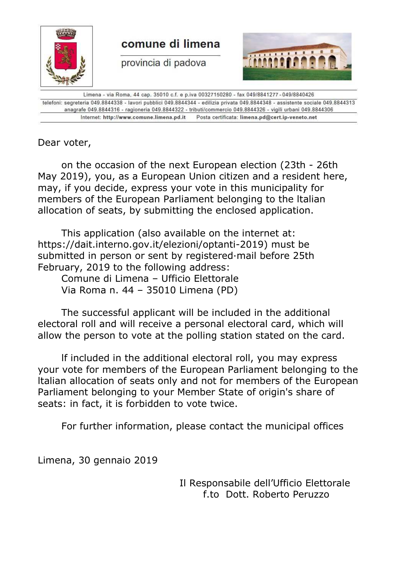

telefoni: segreteria 049.8844338 - lavori pubblici 049.8844344 - edilizia privata 049.8844348 - assistente sociale 049.8844313 anagrafe 049.8844316 - ragioneria 049.8844322 - tributi/commercio 049.8844326 - vigili urbani 049.8844306 Internet: http://www.comune.limena.pd.it Posta certificata: limena.pd@cert.ip-veneto.net

Dear voter,

on the occasion of the next European election (23th - 26th May 2019), you, as a European Union citizen and a resident here, may, if you decide, express your vote in this municipality for members of the European Parliament belonging to the ltalian allocation of seats, by submitting the enclosed application.

This application (also available on the internet at: https://dait.interno.gov.it/elezioni/optanti-2019) must be submitted in person or sent by registered·mail before 25th February, 2019 to the following address:

Comune di Limena – Ufficio Elettorale Via Roma n. 44 – 35010 Limena (PD)

The successful applicant will be included in the additional electoral roll and will receive a personal electoral card, which will allow the person to vote at the polling station stated on the card.

lf included in the additional electoral roll, you may express your vote for members of the European Parliament belonging to the ltalian allocation of seats only and not for members of the European Parliament belonging to your Member State of origin's share of seats: in fact, it is forbidden to vote twice.

For further information, please contact the municipal offices

Limena, 30 gennaio 2019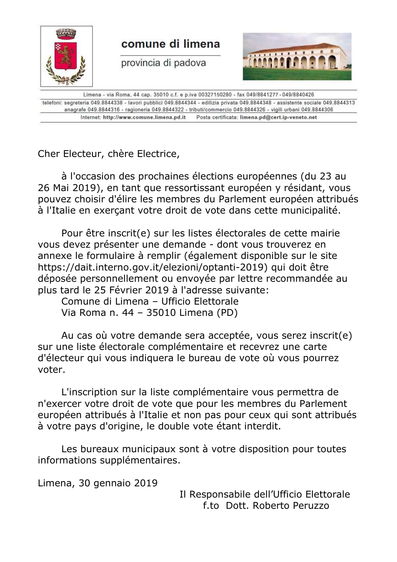

Limena - via Roma, 44 cap. 35010 c.f. e p.iva 00327150280 - fax 049/8841277 - 049/8840426 telefoni: segreteria 049.8844338 - lavori pubblici 049.8844344 - edilizia privata 049.8844348 - assistente sociale 049.8844313 anagrafe 049.8844316 - ragioneria 049.8844322 - tributi/commercio 049.8844326 - vigili urbani 049.8844306 Internet: http://www.comune.limena.pd.it Posta certificata: limena.pd@cert.ip-veneto.net

Cher Electeur, chère Electrice,

à l'occasion des prochaines élections européennes (du 23 au 26 Mai 2019), en tant que ressortissant européen y résidant, vous pouvez choisir d'élire les membres du Parlement européen attribués à l'Italie en exerçant votre droit de vote dans cette municipalité.

Pour être inscrit(e) sur les listes électorales de cette mairie vous devez présenter une demande - dont vous trouverez en annexe le formulaire à remplir (également disponible sur le site https://dait.interno.gov.it/elezioni/optanti-2019) qui doit être déposée personnellement ou envoyée par lettre recommandée au plus tard le 25 Février 2019 à l'adresse suivante:

Comune di Limena – Ufficio Elettorale Via Roma n. 44 – 35010 Limena (PD)

Au cas où votre demande sera acceptée, vous serez inscrit(e) sur une liste électorale complémentaire et recevrez une carte d'électeur qui vous indiquera le bureau de vote où vous pourrez voter.

L'inscription sur la liste complémentaire vous permettra de n'exercer votre droit de vote que pour les membres du Parlement européen attribués à l'Italie et non pas pour ceux qui sont attribués à votre pays d'origine, le double vote étant interdit.

Les bureaux municipaux sont à votre disposition pour toutes informations supplémentaires.

Limena, 30 gennaio 2019